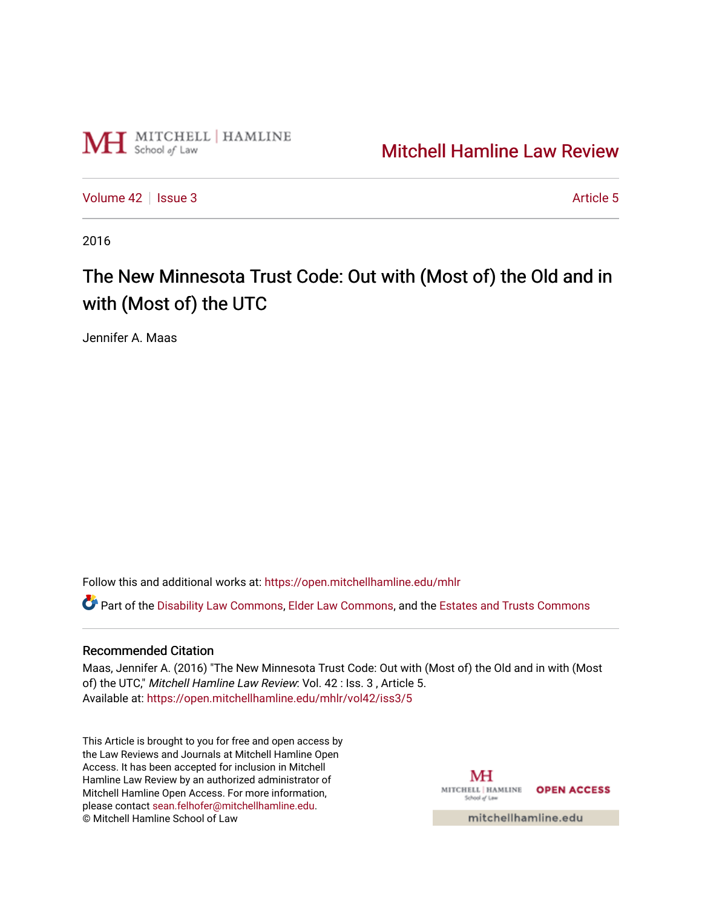

# [Mitchell Hamline Law Review](https://open.mitchellhamline.edu/mhlr)

[Volume 42](https://open.mitchellhamline.edu/mhlr/vol42) | [Issue 3](https://open.mitchellhamline.edu/mhlr/vol42/iss3) Article 5

2016

# The New Minnesota Trust Code: Out with (Most of) the Old and in with (Most of) the UTC

Jennifer A. Maas

Follow this and additional works at: [https://open.mitchellhamline.edu/mhlr](https://open.mitchellhamline.edu/mhlr?utm_source=open.mitchellhamline.edu%2Fmhlr%2Fvol42%2Fiss3%2F5&utm_medium=PDF&utm_campaign=PDFCoverPages) 

Part of the [Disability Law Commons](http://network.bepress.com/hgg/discipline/1074?utm_source=open.mitchellhamline.edu%2Fmhlr%2Fvol42%2Fiss3%2F5&utm_medium=PDF&utm_campaign=PDFCoverPages), [Elder Law Commons](http://network.bepress.com/hgg/discipline/842?utm_source=open.mitchellhamline.edu%2Fmhlr%2Fvol42%2Fiss3%2F5&utm_medium=PDF&utm_campaign=PDFCoverPages), and the [Estates and Trusts Commons](http://network.bepress.com/hgg/discipline/906?utm_source=open.mitchellhamline.edu%2Fmhlr%2Fvol42%2Fiss3%2F5&utm_medium=PDF&utm_campaign=PDFCoverPages) 

### Recommended Citation

Maas, Jennifer A. (2016) "The New Minnesota Trust Code: Out with (Most of) the Old and in with (Most of) the UTC," Mitchell Hamline Law Review: Vol. 42 : Iss. 3 , Article 5. Available at: [https://open.mitchellhamline.edu/mhlr/vol42/iss3/5](https://open.mitchellhamline.edu/mhlr/vol42/iss3/5?utm_source=open.mitchellhamline.edu%2Fmhlr%2Fvol42%2Fiss3%2F5&utm_medium=PDF&utm_campaign=PDFCoverPages) 

This Article is brought to you for free and open access by the Law Reviews and Journals at Mitchell Hamline Open Access. It has been accepted for inclusion in Mitchell Hamline Law Review by an authorized administrator of Mitchell Hamline Open Access. For more information, please contact [sean.felhofer@mitchellhamline.edu.](mailto:sean.felhofer@mitchellhamline.edu) © Mitchell Hamline School of Law

MH MITCHELL | HAMLINE OPEN ACCESS School of Law

mitchellhamline.edu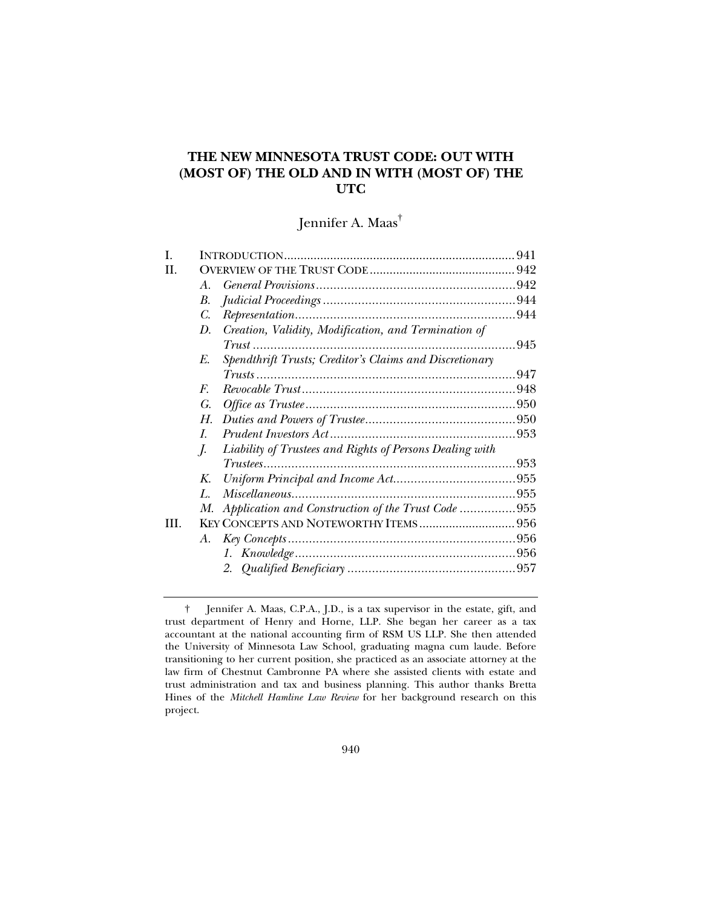## **THE NEW MINNESOTA TRUST CODE: OUT WITH (MOST OF) THE OLD AND IN WITH (MOST OF) THE UTC**

# Jennifer A. Maas†

| L    |                                                                |  |
|------|----------------------------------------------------------------|--|
| H.   |                                                                |  |
|      | $A_{\cdot}$                                                    |  |
|      | В.                                                             |  |
|      | C.                                                             |  |
|      | Creation, Validity, Modification, and Termination of<br>D.     |  |
|      |                                                                |  |
|      | Spendthrift Trusts; Creditor's Claims and Discretionary<br>E.  |  |
|      |                                                                |  |
|      | $F_{\cdot}$                                                    |  |
|      | G.                                                             |  |
|      | Н.                                                             |  |
|      | $\overline{L}$                                                 |  |
|      | Liability of Trustees and Rights of Persons Dealing with<br>J. |  |
|      | $Trustees$                                                     |  |
|      | K.                                                             |  |
|      | $L_{\cdot}$                                                    |  |
|      | Application and Construction of the Trust Code 955<br>M.       |  |
| III. | KEY CONCEPTS AND NOTEWORTHY ITEMS 956                          |  |
|      | А.                                                             |  |
|      |                                                                |  |
|      |                                                                |  |
|      |                                                                |  |

 <sup>†</sup> Jennifer A. Maas, C.P.A., J.D., is a tax supervisor in the estate, gift, and trust department of Henry and Horne, LLP. She began her career as a tax accountant at the national accounting firm of RSM US LLP. She then attended the University of Minnesota Law School, graduating magna cum laude. Before transitioning to her current position, she practiced as an associate attorney at the law firm of Chestnut Cambronne PA where she assisted clients with estate and trust administration and tax and business planning. This author thanks Bretta Hines of the *Mitchell Hamline Law Review* for her background research on this project.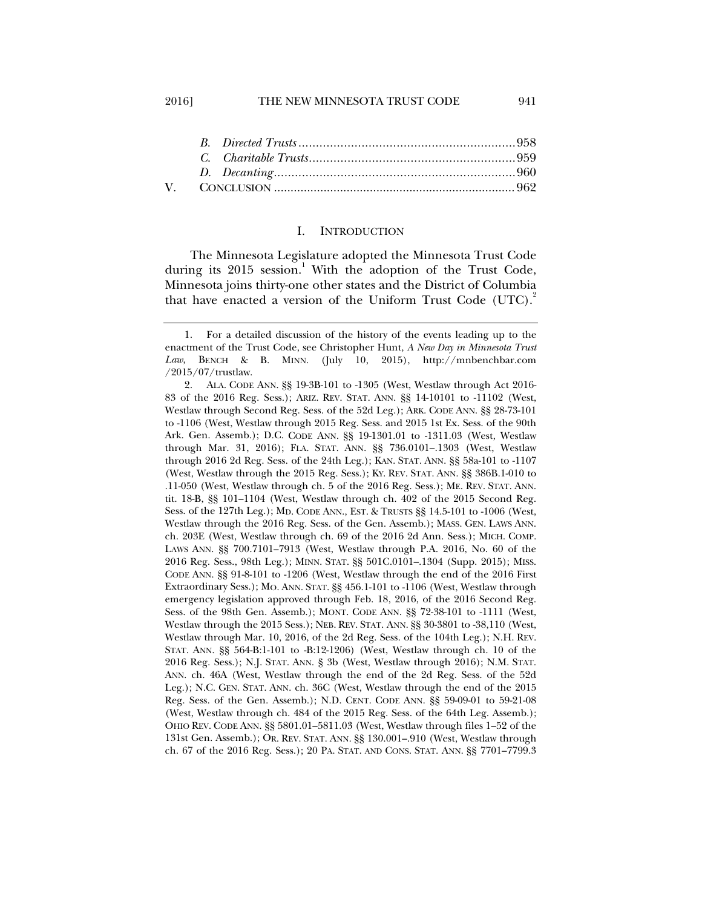#### I. INTRODUCTION

The Minnesota Legislature adopted the Minnesota Trust Code during its 2015 session.<sup>1</sup> With the adoption of the Trust Code, Minnesota joins thirty-one other states and the District of Columbia that have enacted a version of the Uniform Trust Code  $(UTC)$ .

 <sup>1.</sup> For a detailed discussion of the history of the events leading up to the enactment of the Trust Code, see Christopher Hunt, *A New Day in Minnesota Trust Law*, BENCH & B. MINN. (July 10, 2015), http://mnbenchbar.com /2015/07/trustlaw.

 <sup>2.</sup> ALA. CODE ANN. §§ 19-3B-101 to -1305 (West, Westlaw through Act 2016- 83 of the 2016 Reg. Sess.); ARIZ. REV. STAT. ANN. §§ 14-10101 to -11102 (West, Westlaw through Second Reg. Sess. of the 52d Leg.); ARK. CODE ANN. §§ 28-73-101 to -1106 (West, Westlaw through 2015 Reg. Sess. and 2015 1st Ex. Sess. of the 90th Ark. Gen. Assemb.); D.C. CODE ANN. §§ 19-1301.01 to -1311.03 (West, Westlaw through Mar. 31, 2016); FLA. STAT. ANN. §§ 736.0101–.1303 (West, Westlaw through 2016 2d Reg. Sess. of the 24th Leg.); KAN. STAT. ANN. §§ 58a-101 to -1107 (West, Westlaw through the 2015 Reg. Sess.); KY. REV. STAT. ANN. §§ 386B.1-010 to .11-050 (West, Westlaw through ch. 5 of the 2016 Reg. Sess.); ME. REV. STAT. ANN. tit. 18-B, §§ 101–1104 (West, Westlaw through ch. 402 of the 2015 Second Reg. Sess. of the 127th Leg.); MD. CODE ANN., EST. & TRUSTS §§ 14.5-101 to -1006 (West, Westlaw through the 2016 Reg. Sess. of the Gen. Assemb.); MASS. GEN. LAWS ANN. ch. 203E (West, Westlaw through ch. 69 of the 2016 2d Ann. Sess.); MICH. COMP. LAWS ANN. §§ 700.7101–7913 (West, Westlaw through P.A. 2016, No. 60 of the 2016 Reg. Sess., 98th Leg.); MINN. STAT. §§ 501C.0101–.1304 (Supp. 2015); MISS. CODE ANN. §§ 91-8-101 to -1206 (West, Westlaw through the end of the 2016 First Extraordinary Sess.); MO. ANN. STAT. §§ 456.1-101 to -1106 (West, Westlaw through emergency legislation approved through Feb. 18, 2016, of the 2016 Second Reg. Sess. of the 98th Gen. Assemb.); MONT. CODE ANN. §§ 72-38-101 to -1111 (West, Westlaw through the 2015 Sess.); NEB. REV. STAT. ANN. §§ 30-3801 to -38,110 (West, Westlaw through Mar. 10, 2016, of the 2d Reg. Sess. of the 104th Leg.); N.H. REV. STAT. ANN. §§ 564-B:1-101 to -B:12-1206) (West, Westlaw through ch. 10 of the 2016 Reg. Sess.); N.J. STAT. ANN. § 3b (West, Westlaw through 2016); N.M. STAT. ANN. ch. 46A (West, Westlaw through the end of the 2d Reg. Sess. of the 52d Leg.); N.C. GEN. STAT. ANN. ch. 36C (West, Westlaw through the end of the 2015 Reg. Sess. of the Gen. Assemb.); N.D. CENT. CODE ANN. §§ 59-09-01 to 59-21-08 (West, Westlaw through ch. 484 of the 2015 Reg. Sess. of the 64th Leg. Assemb.); OHIO REV. CODE ANN. §§ 5801.01–5811.03 (West, Westlaw through files 1–52 of the 131st Gen. Assemb.); OR. REV. STAT. ANN. §§ 130.001–.910 (West, Westlaw through ch. 67 of the 2016 Reg. Sess.); 20 PA. STAT. AND CONS. STAT. ANN. §§ 7701–7799.3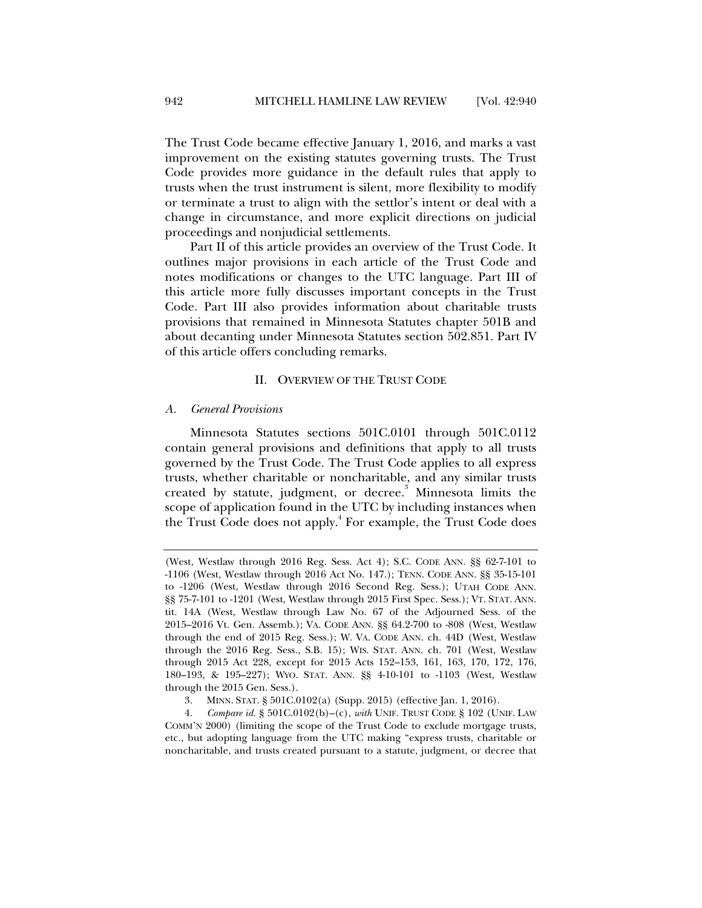The Trust Code became effective January 1, 2016, and marks a vast improvement on the existing statutes governing trusts. The Trust Code provides more guidance in the default rules that apply to trusts when the trust instrument is silent, more flexibility to modify or terminate a trust to align with the settlor's intent or deal with a change in circumstance, and more explicit directions on judicial proceedings and nonjudicial settlements.

Part II of this article provides an overview of the Trust Code. It outlines major provisions in each article of the Trust Code and notes modifications or changes to the UTC language. Part III of this article more fully discusses important concepts in the Trust Code. Part III also provides information about charitable trusts provisions that remained in Minnesota Statutes chapter 501B and about decanting under Minnesota Statutes section 502.851. Part IV of this article offers concluding remarks.

#### II. OVERVIEW OF THE TRUST CODE

#### *A. General Provisions*

Minnesota Statutes sections 501C.0101 through 501C.0112 contain general provisions and definitions that apply to all trusts governed by the Trust Code. The Trust Code applies to all express trusts, whether charitable or noncharitable, and any similar trusts created by statute, judgment, or decree.<sup>3</sup> Minnesota limits the scope of application found in the UTC by including instances when the Trust Code does not apply.<sup>4</sup> For example, the Trust Code does

<sup>(</sup>West, Westlaw through 2016 Reg. Sess. Act 4); S.C. CODE ANN. §§ 62-7-101 to -1106 (West, Westlaw through 2016 Act No. 147.); TENN. CODE ANN. §§ 35-15-101 to -1206 (West, Westlaw through 2016 Second Reg. Sess.); UTAH CODE ANN. §§ 75-7-101 to -1201 (West, Westlaw through 2015 First Spec. Sess.); VT. STAT. ANN. tit. 14A (West, Westlaw through Law No. 67 of the Adjourned Sess. of the 2015–2016 Vt. Gen. Assemb.); VA. CODE ANN. §§ 64.2-700 to -808 (West, Westlaw through the end of 2015 Reg. Sess.); W. VA. CODE ANN. ch. 44D (West, Westlaw through the 2016 Reg. Sess., S.B. 15); WIS. STAT. ANN. ch. 701 (West, Westlaw through 2015 Act 228, except for 2015 Acts 152–153, 161, 163, 170, 172, 176, 180–193, & 195–227); WYO. STAT. ANN. §§ 4-10-101 to -1103 (West, Westlaw through the 2015 Gen. Sess.).

 <sup>3.</sup> MINN. STAT. § 501C.0102(a) (Supp. 2015) (effective Jan. 1, 2016).

 <sup>4.</sup> *Compare id.* § 501C.0102(b)–(c), *with* UNIF. TRUST CODE § 102 (UNIF. LAW COMM'N 2000) (limiting the scope of the Trust Code to exclude mortgage trusts, etc., but adopting language from the UTC making "express trusts, charitable or noncharitable, and trusts created pursuant to a statute, judgment, or decree that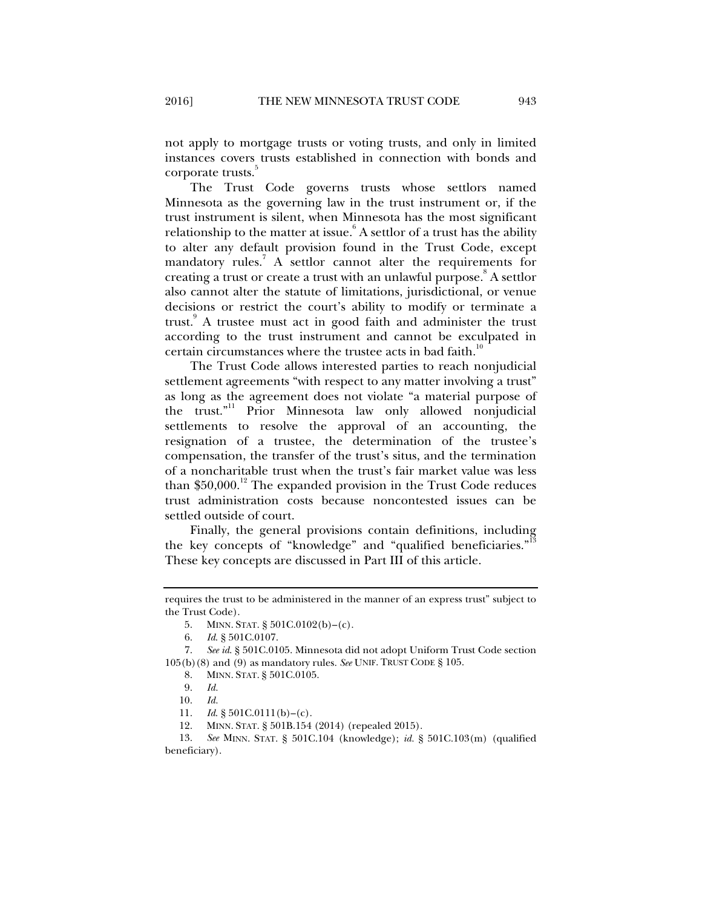not apply to mortgage trusts or voting trusts, and only in limited instances covers trusts established in connection with bonds and corporate trusts.

The Trust Code governs trusts whose settlors named Minnesota as the governing law in the trust instrument or, if the trust instrument is silent, when Minnesota has the most significant relationship to the matter at issue. $^{6}$  A settlor of a trust has the ability to alter any default provision found in the Trust Code, except mandatory rules.<sup>7</sup> A settlor cannot alter the requirements for creating a trust or create a trust with an unlawful purpose.<sup>8</sup> A settlor also cannot alter the statute of limitations, jurisdictional, or venue decisions or restrict the court's ability to modify or terminate a trust.<sup>9</sup> A trustee must act in good faith and administer the trust according to the trust instrument and cannot be exculpated in certain circumstances where the trustee acts in bad faith.<sup>10</sup>

The Trust Code allows interested parties to reach nonjudicial settlement agreements "with respect to any matter involving a trust" as long as the agreement does not violate "a material purpose of the trust."<sup>11</sup> Prior Minnesota law only allowed nonjudicial settlements to resolve the approval of an accounting, the resignation of a trustee, the determination of the trustee's compensation, the transfer of the trust's situs, and the termination of a noncharitable trust when the trust's fair market value was less than  $$50,000$ .<sup>12</sup> The expanded provision in the Trust Code reduces trust administration costs because noncontested issues can be settled outside of court.

Finally, the general provisions contain definitions, including the key concepts of "knowledge" and "qualified beneficiaries." These key concepts are discussed in Part III of this article.

10. *Id.*

requires the trust to be administered in the manner of an express trust" subject to the Trust Code).

 <sup>5.</sup> MINN. STAT. § 501C.0102(b)–(c).

 <sup>6.</sup> *Id*. § 501C.0107.

 <sup>7.</sup> *See id*. § 501C.0105. Minnesota did not adopt Uniform Trust Code section 105(b)(8) and (9) as mandatory rules. *See* UNIF. TRUST CODE § 105.

 <sup>8.</sup> MINN. STAT. § 501C.0105.

 <sup>9.</sup> *Id.* 

 <sup>11.</sup> *Id*. § 501C.0111(b)–(c).

 <sup>12.</sup> MINN. STAT. § 501B.154 (2014) (repealed 2015).

 <sup>13.</sup> *See* MINN. STAT. § 501C.104 (knowledge); *id.* § 501C.103(m) (qualified beneficiary).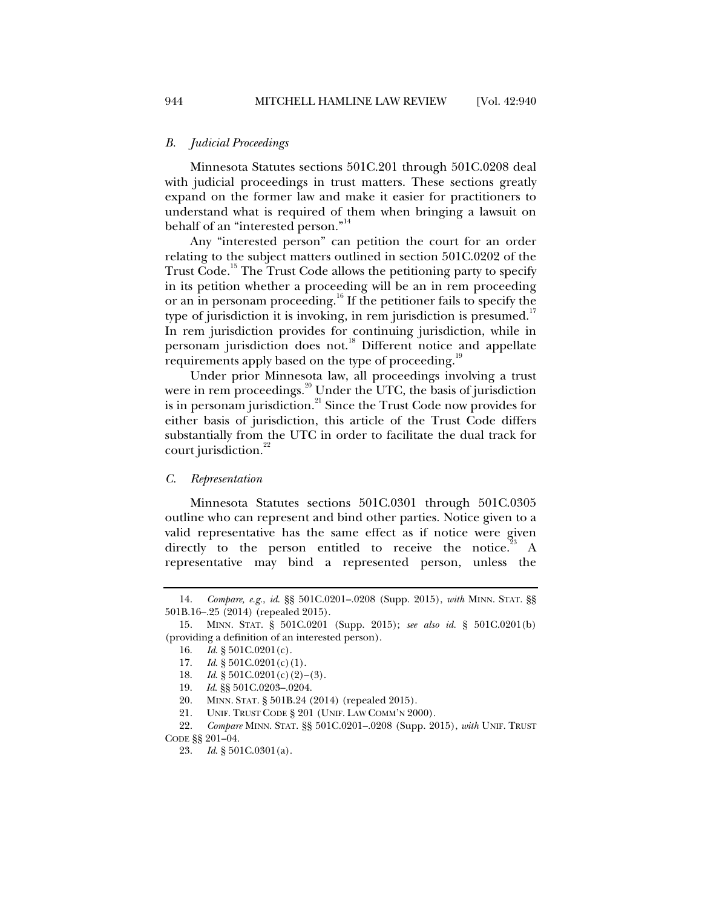#### *B. Judicial Proceedings*

Minnesota Statutes sections 501C.201 through 501C.0208 deal with judicial proceedings in trust matters. These sections greatly expand on the former law and make it easier for practitioners to understand what is required of them when bringing a lawsuit on behalf of an "interested person."<sup>14</sup>

Any "interested person" can petition the court for an order relating to the subject matters outlined in section 501C.0202 of the Trust Code.<sup>15</sup> The Trust Code allows the petitioning party to specify in its petition whether a proceeding will be an in rem proceeding or an in personam proceeding.<sup>16</sup> If the petitioner fails to specify the type of jurisdiction it is invoking, in rem jurisdiction is presumed.<sup>17</sup> In rem jurisdiction provides for continuing jurisdiction, while in personam jurisdiction does not.<sup>18</sup> Different notice and appellate requirements apply based on the type of proceeding.<sup>1</sup>

Under prior Minnesota law, all proceedings involving a trust were in rem proceedings. $20^{\circ}$  Under the UTC, the basis of jurisdiction is in personam jurisdiction.<sup>21</sup> Since the Trust Code now provides for either basis of jurisdiction, this article of the Trust Code differs substantially from the UTC in order to facilitate the dual track for court jurisdiction.<sup>22</sup>

#### *C. Representation*

Minnesota Statutes sections 501C.0301 through 501C.0305 outline who can represent and bind other parties. Notice given to a valid representative has the same effect as if notice were given directly to the person entitled to receive the notice.<sup>23</sup> A representative may bind a represented person, unless the

 <sup>14.</sup> *Compare, e.g.*, *id*. §§ 501C.0201–.0208 (Supp. 2015), *with* MINN. STAT. §§ 501B.16–.25 (2014) (repealed 2015).

 <sup>15.</sup> MINN. STAT. § 501C.0201 (Supp. 2015); *see also id.* § 501C.0201(b) (providing a definition of an interested person).

 <sup>16.</sup> *Id*. § 501C.0201(c).

 <sup>17.</sup> *Id*. § 501C.0201(c)(1).

 <sup>18.</sup> *Id*. § 501C.0201(c)(2)–(3).

 <sup>19.</sup> *Id*. §§ 501C.0203–.0204.

 <sup>20.</sup> MINN. STAT. § 501B.24 (2014) (repealed 2015).

 <sup>21.</sup> UNIF. TRUST CODE § 201 (UNIF. LAW COMM'N 2000).

 <sup>22.</sup> *Compare* MINN. STAT. §§ 501C.0201–.0208 (Supp. 2015), *with* UNIF. TRUST CODE §§ 201–04.

 <sup>23.</sup> *Id*. § 501C.0301(a).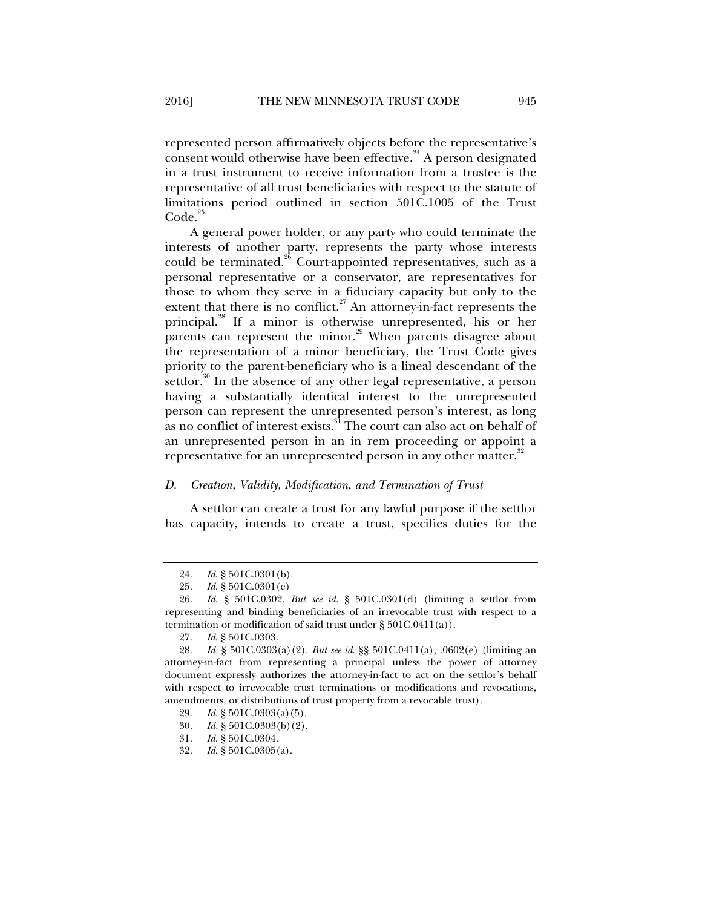represented person affirmatively objects before the representative's consent would otherwise have been effective.  $24$  A person designated in a trust instrument to receive information from a trustee is the representative of all trust beneficiaries with respect to the statute of limitations period outlined in section 501C.1005 of the Trust  $Code.<sup>25</sup>$ 

A general power holder, or any party who could terminate the interests of another party, represents the party whose interests could be terminated.<sup>26</sup> Court-appointed representatives, such as a personal representative or a conservator, are representatives for those to whom they serve in a fiduciary capacity but only to the extent that there is no conflict.<sup>27</sup> An attorney-in-fact represents the principal.28 If a minor is otherwise unrepresented, his or her parents can represent the minor. $^{29}$  When parents disagree about the representation of a minor beneficiary, the Trust Code gives priority to the parent-beneficiary who is a lineal descendant of the settlor.<sup>30</sup> In the absence of any other legal representative, a person having a substantially identical interest to the unrepresented person can represent the unrepresented person's interest, as long as no conflict of interest exists.<sup>31</sup> The court can also act on behalf of an unrepresented person in an in rem proceeding or appoint a representative for an unrepresented person in any other matter.<sup>32</sup>

#### *D. Creation, Validity, Modification, and Termination of Trust*

A settlor can create a trust for any lawful purpose if the settlor has capacity, intends to create a trust, specifies duties for the

31. *Id*. § 501C.0304.

 <sup>24.</sup> *Id*. § 501C.0301(b).

 <sup>25.</sup> *Id*. § 501C.0301(e)

 <sup>26.</sup> *Id*. § 501C.0302. *But see id*. § 501C.0301(d) (limiting a settlor from representing and binding beneficiaries of an irrevocable trust with respect to a termination or modification of said trust under § 501C.0411(a)).

 <sup>27.</sup> *Id*. § 501C.0303.

 <sup>28.</sup> *Id.* § 501C.0303(a)(2). *But see id*. §§ 501C.0411(a), .0602(e) (limiting an attorney-in-fact from representing a principal unless the power of attorney document expressly authorizes the attorney-in-fact to act on the settlor's behalf with respect to irrevocable trust terminations or modifications and revocations, amendments, or distributions of trust property from a revocable trust).

 <sup>29.</sup> *Id*. § 501C.0303(a)(5).

 <sup>30.</sup> *Id.* § 501C.0303(b)(2).

 <sup>32.</sup> *Id*. § 501C.0305(a).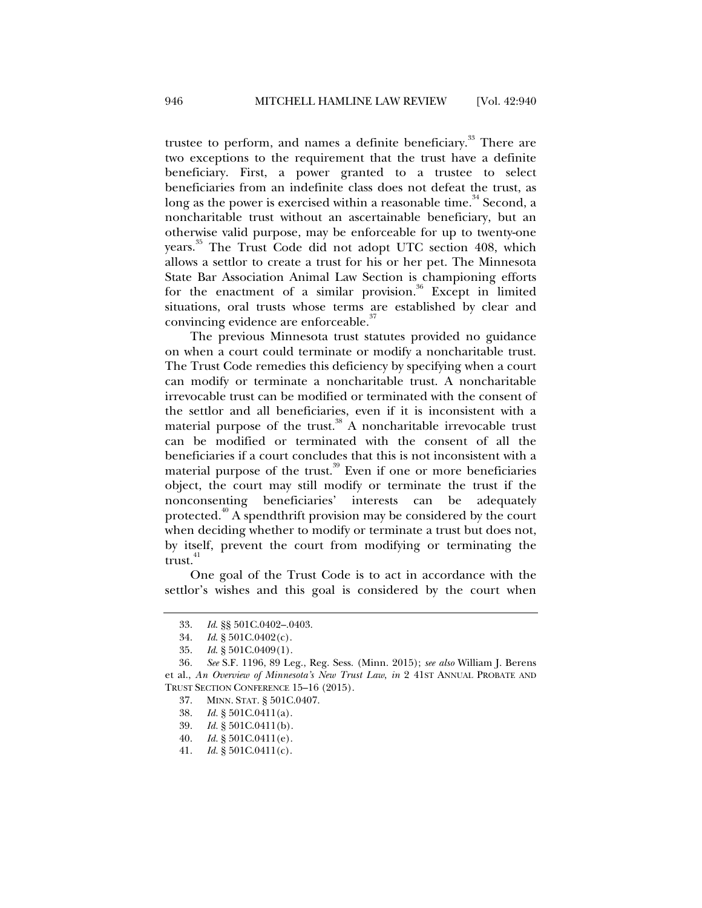trustee to perform, and names a definite beneficiary.<sup>33</sup> There are two exceptions to the requirement that the trust have a definite beneficiary. First, a power granted to a trustee to select beneficiaries from an indefinite class does not defeat the trust, as long as the power is exercised within a reasonable time.<sup>34</sup> Second, a noncharitable trust without an ascertainable beneficiary, but an otherwise valid purpose, may be enforceable for up to twenty-one years.<sup>35</sup> The Trust Code did not adopt UTC section 408, which allows a settlor to create a trust for his or her pet. The Minnesota State Bar Association Animal Law Section is championing efforts for the enactment of a similar provision.<sup>36</sup> Except in limited situations, oral trusts whose terms are established by clear and convincing evidence are enforceable.<sup>37</sup>

The previous Minnesota trust statutes provided no guidance on when a court could terminate or modify a noncharitable trust. The Trust Code remedies this deficiency by specifying when a court can modify or terminate a noncharitable trust. A noncharitable irrevocable trust can be modified or terminated with the consent of the settlor and all beneficiaries, even if it is inconsistent with a material purpose of the trust.<sup>38</sup> A noncharitable irrevocable trust can be modified or terminated with the consent of all the beneficiaries if a court concludes that this is not inconsistent with a material purpose of the trust.<sup>39</sup> Even if one or more beneficiaries object, the court may still modify or terminate the trust if the nonconsenting beneficiaries' interests can be adequately protected.<sup>40</sup> A spendthrift provision may be considered by the court when deciding whether to modify or terminate a trust but does not, by itself, prevent the court from modifying or terminating the  $trust.<sup>41</sup>$ 

One goal of the Trust Code is to act in accordance with the settlor's wishes and this goal is considered by the court when

 <sup>33.</sup> *Id*. §§ 501C.0402–.0403.

 <sup>34.</sup> *Id*. § 501C.0402(c).

 <sup>35.</sup> *Id*. § 501C.0409(1).

<sup>36</sup>*. See* S.F. 1196, 89 Leg., Reg. Sess. (Minn. 2015); *see also* William J. Berens et al., *An Overview of Minnesota's New Trust Law*, *in* 2 41ST ANNUAL PROBATE AND TRUST SECTION CONFERENCE 15–16 (2015).

 <sup>37.</sup> MINN. STAT. § 501C.0407.

 <sup>38.</sup> *Id.* § 501C.0411(a).

 <sup>39.</sup> *Id.* § 501C.0411(b).

 <sup>40.</sup> *Id.* § 501C.0411(e).

 <sup>41.</sup> *Id.* § 501C.0411(c).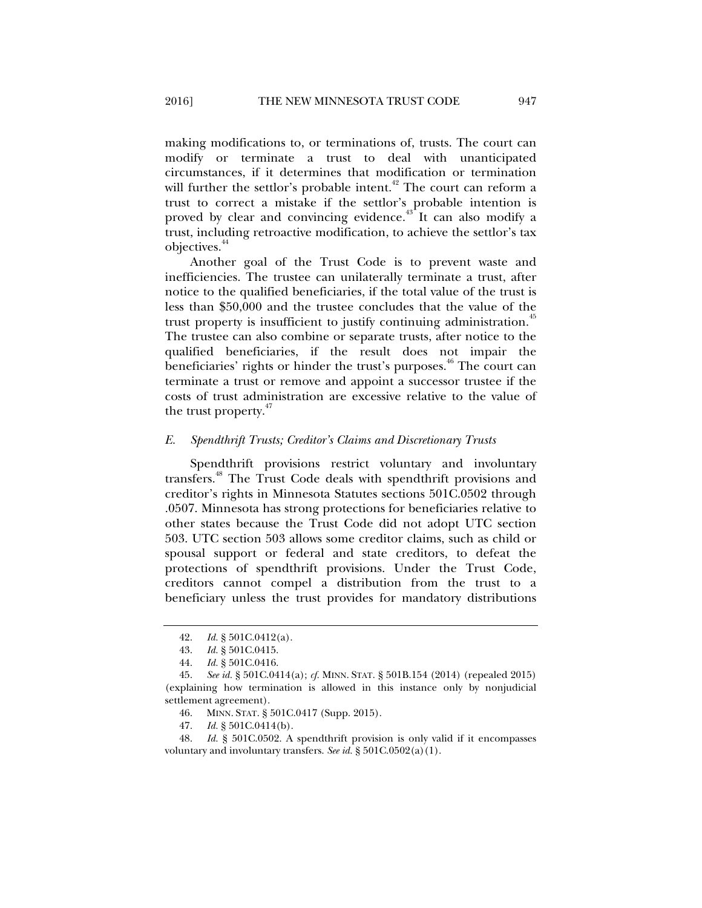making modifications to, or terminations of, trusts. The court can modify or terminate a trust to deal with unanticipated circumstances, if it determines that modification or termination will further the settlor's probable intent.<sup>42</sup> The court can reform a trust to correct a mistake if the settlor's probable intention is proved by clear and convincing evidence.<sup>43</sup> It can also modify a trust, including retroactive modification, to achieve the settlor's tax objectives.<sup>44</sup>

Another goal of the Trust Code is to prevent waste and inefficiencies. The trustee can unilaterally terminate a trust, after notice to the qualified beneficiaries, if the total value of the trust is less than \$50,000 and the trustee concludes that the value of the trust property is insufficient to justify continuing administration.<sup>45</sup> The trustee can also combine or separate trusts, after notice to the qualified beneficiaries, if the result does not impair the beneficiaries' rights or hinder the trust's purposes.<sup>46</sup> The court can terminate a trust or remove and appoint a successor trustee if the costs of trust administration are excessive relative to the value of the trust property.<sup>47</sup>

#### *E. Spendthrift Trusts; Creditor's Claims and Discretionary Trusts*

Spendthrift provisions restrict voluntary and involuntary transfers.48 The Trust Code deals with spendthrift provisions and creditor's rights in Minnesota Statutes sections 501C.0502 through .0507. Minnesota has strong protections for beneficiaries relative to other states because the Trust Code did not adopt UTC section 503. UTC section 503 allows some creditor claims, such as child or spousal support or federal and state creditors, to defeat the protections of spendthrift provisions. Under the Trust Code, creditors cannot compel a distribution from the trust to a beneficiary unless the trust provides for mandatory distributions

 <sup>42.</sup> *Id.* § 501C.0412(a).

 <sup>43.</sup> *Id.* § 501C.0415.

 <sup>44.</sup> *Id.* § 501C.0416.

 <sup>45.</sup> *See id.* § 501C.0414(a); *cf.* MINN. STAT. § 501B.154 (2014) (repealed 2015) (explaining how termination is allowed in this instance only by nonjudicial settlement agreement).

 <sup>46.</sup> MINN. STAT. § 501C.0417 (Supp. 2015).

 <sup>47.</sup> *Id.* § 501C.0414(b).

 <sup>48.</sup> *Id.* § 501C.0502. A spendthrift provision is only valid if it encompasses voluntary and involuntary transfers. *See id.* § 501C.0502(a)(1).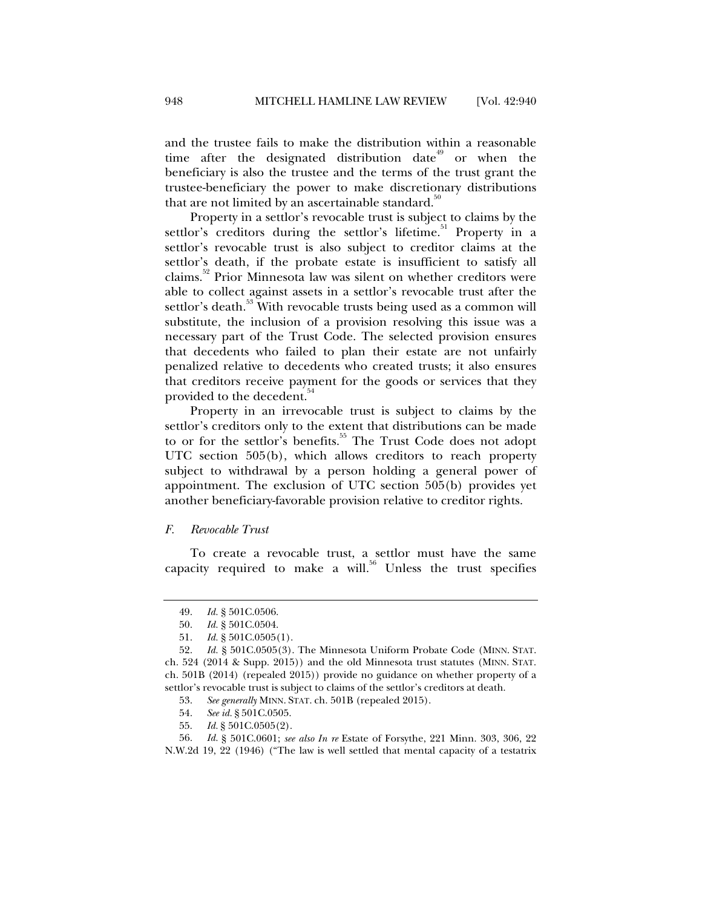and the trustee fails to make the distribution within a reasonable time after the designated distribution date<sup> $49$ </sup> or when the beneficiary is also the trustee and the terms of the trust grant the trustee-beneficiary the power to make discretionary distributions that are not limited by an ascertainable standard.<sup>50</sup>

Property in a settlor's revocable trust is subject to claims by the settlor's creditors during the settlor's lifetime.<sup>51</sup> Property in a settlor's revocable trust is also subject to creditor claims at the settlor's death, if the probate estate is insufficient to satisfy all claims. $52$  Prior Minnesota law was silent on whether creditors were able to collect against assets in a settlor's revocable trust after the settlor's death.<sup>53</sup> With revocable trusts being used as a common will substitute, the inclusion of a provision resolving this issue was a necessary part of the Trust Code. The selected provision ensures that decedents who failed to plan their estate are not unfairly penalized relative to decedents who created trusts; it also ensures that creditors receive payment for the goods or services that they provided to the decedent.<sup>54</sup>

Property in an irrevocable trust is subject to claims by the settlor's creditors only to the extent that distributions can be made to or for the settlor's benefits.<sup>55</sup> The Trust Code does not adopt UTC section 505(b), which allows creditors to reach property subject to withdrawal by a person holding a general power of appointment. The exclusion of UTC section 505(b) provides yet another beneficiary-favorable provision relative to creditor rights.

#### *F. Revocable Trust*

To create a revocable trust, a settlor must have the same capacity required to make a will. $56$  Unless the trust specifies

<sup>49.</sup> *Id.* § 501C.0506.<br>50. *Id.* § 501C.0504.

 <sup>50.</sup> *Id.* § 501C.0504.

 <sup>51.</sup> *Id.* § 501C.0505(1).

 <sup>52.</sup> *Id.* § 501C.0505(3). The Minnesota Uniform Probate Code (MINN. STAT. ch. 524 (2014 & Supp. 2015)) and the old Minnesota trust statutes (MINN. STAT. ch. 501B (2014) (repealed 2015)) provide no guidance on whether property of a settlor's revocable trust is subject to claims of the settlor's creditors at death.

 <sup>53.</sup> *See generally* MINN. STAT. ch. 501B (repealed 2015).

 <sup>54.</sup> *See id.* § 501C.0505.

 <sup>55.</sup> *Id.* § 501C.0505(2).

 <sup>56.</sup> *Id.* § 501C.0601; *see also In re* Estate of Forsythe, 221 Minn. 303, 306, 22 N.W.2d 19, 22 (1946) ("The law is well settled that mental capacity of a testatrix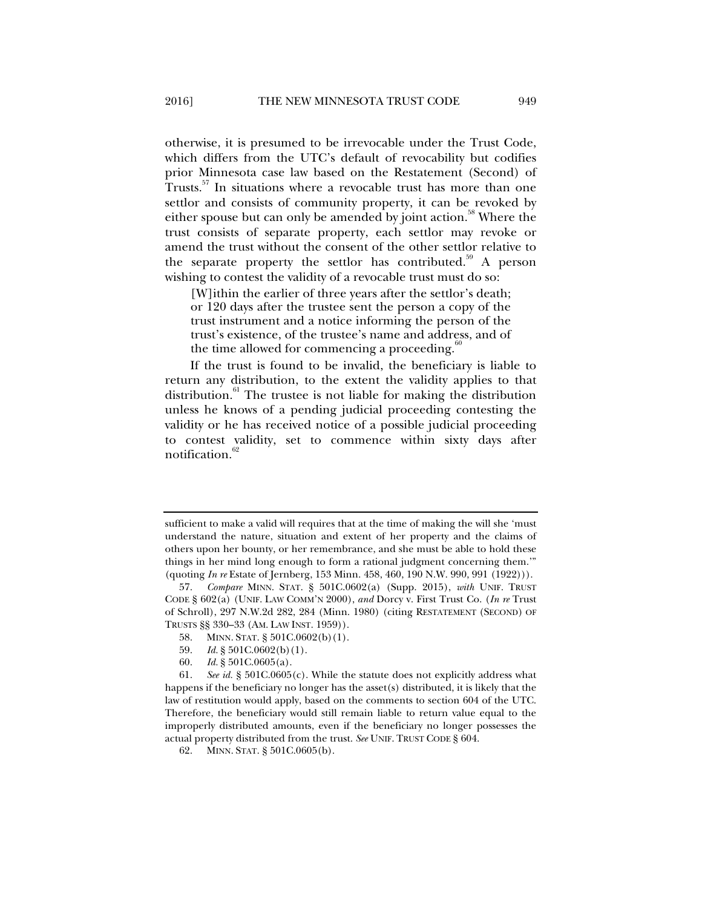otherwise, it is presumed to be irrevocable under the Trust Code, which differs from the UTC's default of revocability but codifies prior Minnesota case law based on the Restatement (Second) of Trusts.<sup>57</sup> In situations where a revocable trust has more than one settlor and consists of community property, it can be revoked by either spouse but can only be amended by joint action.<sup>58</sup> Where the trust consists of separate property, each settlor may revoke or amend the trust without the consent of the other settlor relative to the separate property the settlor has contributed.<sup>59</sup> A person wishing to contest the validity of a revocable trust must do so:

[W]ithin the earlier of three years after the settlor's death; or 120 days after the trustee sent the person a copy of the trust instrument and a notice informing the person of the trust's existence, of the trustee's name and address, and of the time allowed for commencing a proceeding.<sup>8</sup>

If the trust is found to be invalid, the beneficiary is liable to return any distribution, to the extent the validity applies to that distribution. $61$  The trustee is not liable for making the distribution unless he knows of a pending judicial proceeding contesting the validity or he has received notice of a possible judicial proceeding to contest validity, set to commence within sixty days after notification.<sup>62</sup>

- 58. MINN. STAT. § 501C.0602(b)(1).
- 59. *Id.* § 501C.0602(b)(1).
- 60. *Id.* § 501C.0605(a).

 61. *See id.* § 501C.0605(c). While the statute does not explicitly address what happens if the beneficiary no longer has the asset(s) distributed, it is likely that the law of restitution would apply, based on the comments to section 604 of the UTC. Therefore, the beneficiary would still remain liable to return value equal to the improperly distributed amounts, even if the beneficiary no longer possesses the actual property distributed from the trust. *See* UNIF. TRUST CODE § 604.

sufficient to make a valid will requires that at the time of making the will she 'must understand the nature, situation and extent of her property and the claims of others upon her bounty, or her remembrance, and she must be able to hold these things in her mind long enough to form a rational judgment concerning them.'" (quoting *In re* Estate of Jernberg, 153 Minn. 458, 460, 190 N.W. 990, 991 (1922))).

 <sup>57.</sup> *Compare* MINN. STAT. § 501C.0602(a) (Supp. 2015), *with* UNIF. TRUST CODE § 602(a) (UNIF. LAW COMM'N 2000), *and* Dorcy v. First Trust Co. (*In re* Trust of Schroll), 297 N.W.2d 282, 284 (Minn. 1980) (citing RESTATEMENT (SECOND) OF TRUSTS §§ 330–33 (AM. LAW INST. 1959)).

 <sup>62.</sup> MINN. STAT. § 501C.0605(b).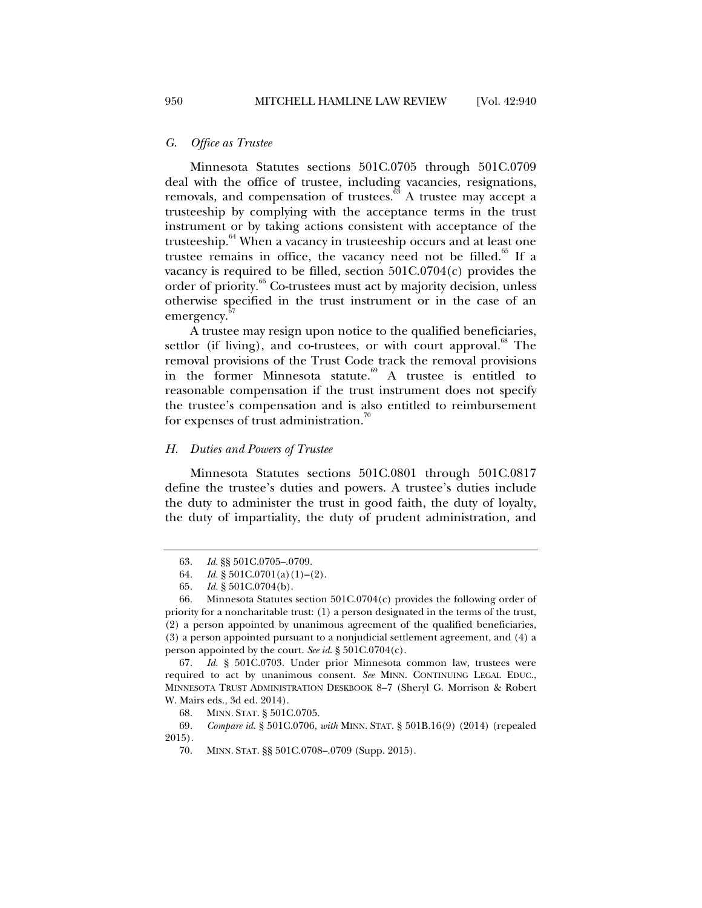#### *G. Office as Trustee*

Minnesota Statutes sections 501C.0705 through 501C.0709 deal with the office of trustee, including vacancies, resignations, removals, and compensation of trustees.<sup>63</sup> A trustee may accept a trusteeship by complying with the acceptance terms in the trust instrument or by taking actions consistent with acceptance of the trusteeship.<sup>64</sup> When a vacancy in trusteeship occurs and at least one trustee remains in office, the vacancy need not be filled.<sup>65</sup> If a vacancy is required to be filled, section  $501C.0704(c)$  provides the order of priority.<sup>66</sup> Co-trustees must act by majority decision, unless otherwise specified in the trust instrument or in the case of an emergency.

A trustee may resign upon notice to the qualified beneficiaries, settlor (if living), and co-trustees, or with court approval.<sup>88</sup> The removal provisions of the Trust Code track the removal provisions in the former Minnesota statute.<sup>69</sup> A trustee is entitled to reasonable compensation if the trust instrument does not specify the trustee's compensation and is also entitled to reimbursement for expenses of trust administration.<sup>70</sup>

#### *H. Duties and Powers of Trustee*

Minnesota Statutes sections 501C.0801 through 501C.0817 define the trustee's duties and powers. A trustee's duties include the duty to administer the trust in good faith, the duty of loyalty, the duty of impartiality, the duty of prudent administration, and

 <sup>63.</sup> *Id.* §§ 501C.0705–.0709.

<sup>64.</sup> *Id.*  $\S 501C.0701(a)(1)-(2)$ .

 <sup>65.</sup> *Id.* § 501C.0704(b).

 <sup>66.</sup> Minnesota Statutes section 501C.0704(c) provides the following order of priority for a noncharitable trust: (1) a person designated in the terms of the trust, (2) a person appointed by unanimous agreement of the qualified beneficiaries, (3) a person appointed pursuant to a nonjudicial settlement agreement, and (4) a person appointed by the court. *See id*. § 501C.0704(c).

 <sup>67.</sup> *Id.* § 501C.0703. Under prior Minnesota common law, trustees were required to act by unanimous consent. *See* MINN. CONTINUING LEGAL EDUC., MINNESOTA TRUST ADMINISTRATION DESKBOOK 8–7 (Sheryl G. Morrison & Robert W. Mairs eds., 3d ed. 2014).

 <sup>68.</sup> MINN. STAT. § 501C.0705.

 <sup>69.</sup> *Compare id.* § 501C.0706, *with* MINN. STAT. § 501B.16(9) (2014) (repealed 2015).

 <sup>70.</sup> MINN. STAT. §§ 501C.0708–.0709 (Supp. 2015).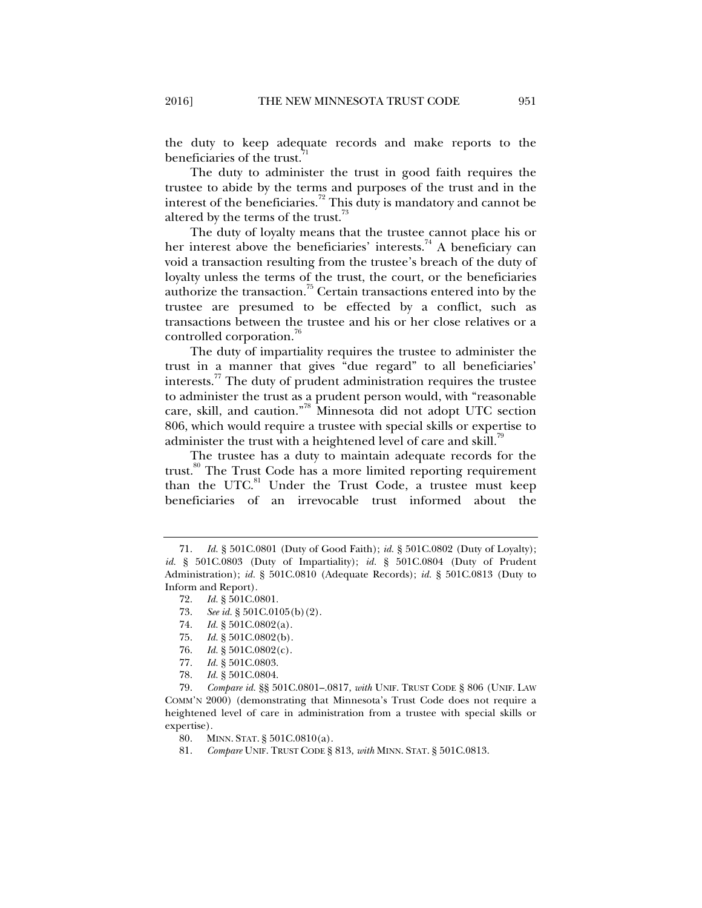the duty to keep adequate records and make reports to the beneficiaries of the trust.<sup>7</sup>

The duty to administer the trust in good faith requires the trustee to abide by the terms and purposes of the trust and in the interest of the beneficiaries.<sup>72</sup> This duty is mandatory and cannot be altered by the terms of the trust.<sup>73</sup>

The duty of loyalty means that the trustee cannot place his or her interest above the beneficiaries' interests.<sup>74</sup> A beneficiary can void a transaction resulting from the trustee's breach of the duty of loyalty unless the terms of the trust, the court, or the beneficiaries authorize the transaction.75 Certain transactions entered into by the trustee are presumed to be effected by a conflict, such as transactions between the trustee and his or her close relatives or a controlled corporation.<sup>76</sup>

The duty of impartiality requires the trustee to administer the trust in a manner that gives "due regard" to all beneficiaries' interests.<sup>77</sup> The duty of prudent administration requires the trustee to administer the trust as a prudent person would, with "reasonable care, skill, and caution."78 Minnesota did not adopt UTC section 806, which would require a trustee with special skills or expertise to administer the trust with a heightened level of care and skill.<sup>79</sup>

The trustee has a duty to maintain adequate records for the trust.<sup>80</sup> The Trust Code has a more limited reporting requirement than the UTC. $81$  Under the Trust Code, a trustee must keep beneficiaries of an irrevocable trust informed about the

- 74. *Id.* § 501C.0802(a).
- 75. *Id.* § 501C.0802(b).
- 76. *Id.* § 501C.0802(c).
- 77. *Id.* § 501C.0803.
- 78. *Id.* § 501C.0804.

 79. *Compare id.* §§ 501C.0801–.0817, *with* UNIF. TRUST CODE § 806 (UNIF. LAW COMM'N 2000) (demonstrating that Minnesota's Trust Code does not require a heightened level of care in administration from a trustee with special skills or expertise).

80. MINN. STAT. § 501C.0810(a).

81. *Compare* UNIF. TRUST CODE § 813, *with* MINN. STAT. § 501C.0813.

 <sup>71.</sup> *Id.* § 501C.0801 (Duty of Good Faith); *id.* § 501C.0802 (Duty of Loyalty); *id.* § 501C.0803 (Duty of Impartiality); *id.* § 501C.0804 (Duty of Prudent Administration); *id.* § 501C.0810 (Adequate Records); *id.* § 501C.0813 (Duty to Inform and Report).

 <sup>72.</sup> *Id.* § 501C.0801.

<sup>73.</sup> *See id.* § 501C.0105(b)(2).<br>74. *Id.* § 501C.0802(a).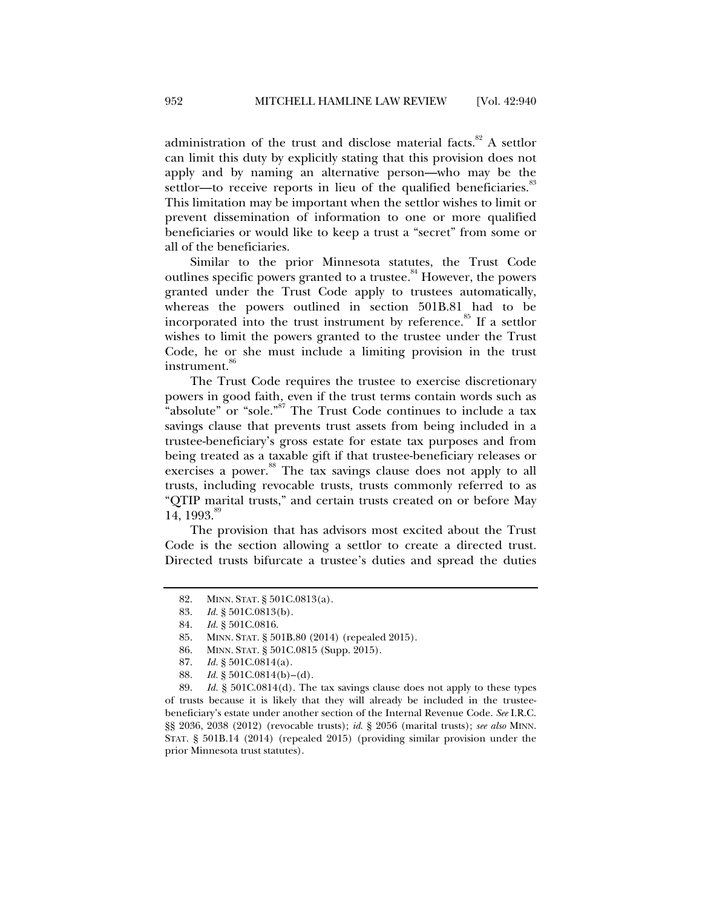administration of the trust and disclose material facts. $82$  A settlor can limit this duty by explicitly stating that this provision does not apply and by naming an alternative person—who may be the settlor—to receive reports in lieu of the qualified beneficiaries.<sup>83</sup> This limitation may be important when the settlor wishes to limit or prevent dissemination of information to one or more qualified beneficiaries or would like to keep a trust a "secret" from some or all of the beneficiaries.

Similar to the prior Minnesota statutes, the Trust Code outlines specific powers granted to a trustee.<sup>84</sup> However, the powers granted under the Trust Code apply to trustees automatically, whereas the powers outlined in section 501B.81 had to be incorporated into the trust instrument by reference.<sup>85</sup> If a settlor wishes to limit the powers granted to the trustee under the Trust Code, he or she must include a limiting provision in the trust instrument.<sup>86</sup>

The Trust Code requires the trustee to exercise discretionary powers in good faith, even if the trust terms contain words such as "absolute" or "sole."<sup>87</sup> The Trust Code continues to include a tax savings clause that prevents trust assets from being included in a trustee-beneficiary's gross estate for estate tax purposes and from being treated as a taxable gift if that trustee-beneficiary releases or exercises a power.<sup>88</sup> The tax savings clause does not apply to all trusts, including revocable trusts, trusts commonly referred to as "QTIP marital trusts," and certain trusts created on or before May 14, 1993. $\degree$ 

The provision that has advisors most excited about the Trust Code is the section allowing a settlor to create a directed trust. Directed trusts bifurcate a trustee's duties and spread the duties

 <sup>82.</sup> MINN. STAT. § 501C.0813(a).

 <sup>83.</sup> *Id.* § 501C.0813(b).

 <sup>84.</sup> *Id.* § 501C.0816.

 <sup>85.</sup> MINN. STAT. § 501B.80 (2014) (repealed 2015).

 <sup>86.</sup> MINN. STAT. § 501C.0815 (Supp. 2015).

 <sup>87.</sup> *Id.* § 501C.0814(a).

 <sup>88.</sup> *Id.* § 501C.0814(b)–(d).

 <sup>89.</sup> *Id.* § 501C.0814(d). The tax savings clause does not apply to these types of trusts because it is likely that they will already be included in the trusteebeneficiary's estate under another section of the Internal Revenue Code. *See* I.R.C. §§ 2036, 2038 (2012) (revocable trusts); *id*. § 2056 (marital trusts); *see also* MINN. STAT. § 501B.14 (2014) (repealed 2015) (providing similar provision under the prior Minnesota trust statutes).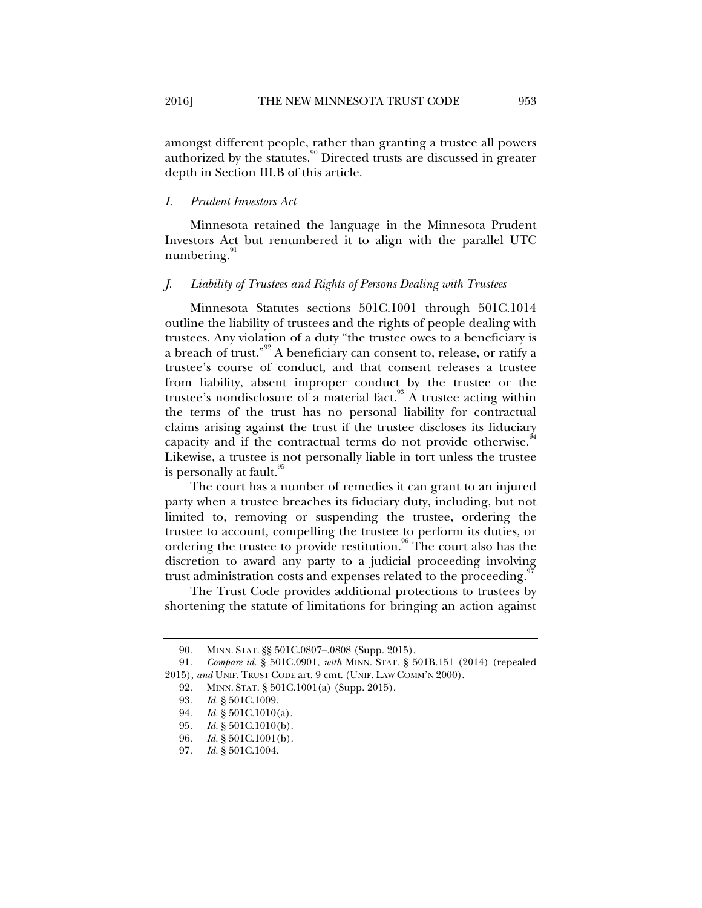amongst different people, rather than granting a trustee all powers authorized by the statutes.<sup>90</sup> Directed trusts are discussed in greater depth in Section III.B of this article.

#### *I. Prudent Investors Act*

Minnesota retained the language in the Minnesota Prudent Investors Act but renumbered it to align with the parallel UTC numbering. $91$ 

#### *J. Liability of Trustees and Rights of Persons Dealing with Trustees*

Minnesota Statutes sections 501C.1001 through 501C.1014 outline the liability of trustees and the rights of people dealing with trustees. Any violation of a duty "the trustee owes to a beneficiary is a breach of trust."<sup>92</sup> A beneficiary can consent to, release, or ratify a trustee's course of conduct, and that consent releases a trustee from liability, absent improper conduct by the trustee or the trustee's nondisclosure of a material fact. $93$  A trustee acting within the terms of the trust has no personal liability for contractual claims arising against the trust if the trustee discloses its fiduciary capacity and if the contractual terms do not provide otherwise.<sup>9</sup> Likewise, a trustee is not personally liable in tort unless the trustee is personally at fault.<sup>95</sup>

The court has a number of remedies it can grant to an injured party when a trustee breaches its fiduciary duty, including, but not limited to, removing or suspending the trustee, ordering the trustee to account, compelling the trustee to perform its duties, or ordering the trustee to provide restitution.  $96$  The court also has the discretion to award any party to a judicial proceeding involving trust administration costs and expenses related to the proceeding.

The Trust Code provides additional protections to trustees by shortening the statute of limitations for bringing an action against

 <sup>90.</sup> MINN. STAT. §§ 501C.0807–.0808 (Supp. 2015).

 <sup>91.</sup> *Compare id.* § 501C.0901, *with* MINN. STAT. § 501B.151 (2014) (repealed 2015), *and* UNIF. TRUST CODE art. 9 cmt. (UNIF. LAW COMM'N 2000).

 <sup>92.</sup> MINN. STAT. § 501C.1001(a) (Supp. 2015).

 <sup>93.</sup> *Id.* § 501C.1009.

 <sup>94.</sup> *Id.* § 501C.1010(a).

<sup>95.</sup> *Id.* § 501C.1010(b).<br>96. *Id.* § 501C.1001(b).

*Id.* § 501C.1001(b).

 <sup>97.</sup> *Id.* § 501C.1004.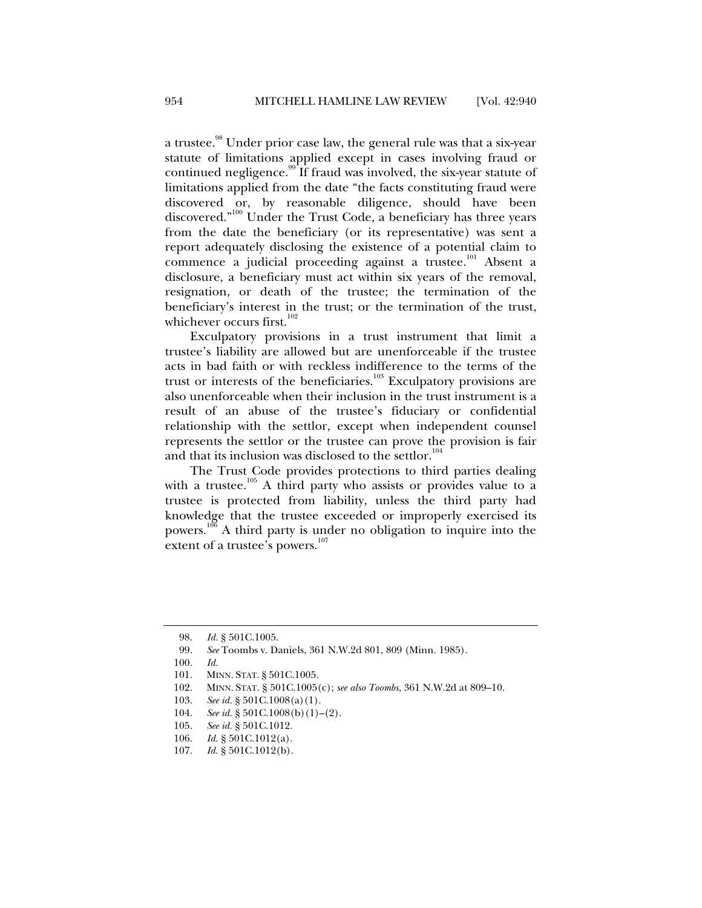a trustee.<sup>98</sup> Under prior case law, the general rule was that a six-year statute of limitations applied except in cases involving fraud or continued negligence.<sup>99</sup> If fraud was involved, the six-year statute of limitations applied from the date "the facts constituting fraud were discovered or, by reasonable diligence, should have been discovered."<sup>100</sup> Under the Trust Code, a beneficiary has three years from the date the beneficiary (or its representative) was sent a report adequately disclosing the existence of a potential claim to commence a judicial proceeding against a trustee.<sup>101</sup> Absent a disclosure, a beneficiary must act within six years of the removal, resignation, or death of the trustee; the termination of the beneficiary's interest in the trust; or the termination of the trust, whichever occurs first.<sup>102</sup>

Exculpatory provisions in a trust instrument that limit a trustee's liability are allowed but are unenforceable if the trustee acts in bad faith or with reckless indifference to the terms of the trust or interests of the beneficiaries.<sup>103</sup> Exculpatory provisions are also unenforceable when their inclusion in the trust instrument is a result of an abuse of the trustee's fiduciary or confidential relationship with the settlor, except when independent counsel represents the settlor or the trustee can prove the provision is fair and that its inclusion was disclosed to the settlor.<sup>104</sup>

The Trust Code provides protections to third parties dealing with a trustee.<sup>105</sup> A third party who assists or provides value to a trustee is protected from liability, unless the third party had knowledge that the trustee exceeded or improperly exercised its powers.106 A third party is under no obligation to inquire into the extent of a trustee's powers.<sup>107</sup>

 <sup>98.</sup> *Id.* § 501C.1005.

 <sup>99.</sup> *See* Toombs v. Daniels, 361 N.W.2d 801, 809 (Minn. 1985).

 <sup>100.</sup> *Id.* 

 <sup>101.</sup> MINN. STAT. § 501C.1005.

 <sup>102.</sup> MINN. STAT. § 501C.1005(c); *see also Toombs*, 361 N.W.2d at 809–10.

 <sup>103.</sup> *See id.* § 501C.1008(a)(1).

 <sup>104.</sup> *See id.* § 501C.1008(b)(1)–(2).

 <sup>105.</sup> *See id.* § 501C.1012.

 <sup>106.</sup> *Id.* § 501C.1012(a).

 <sup>107.</sup> *Id.* § 501C.1012(b).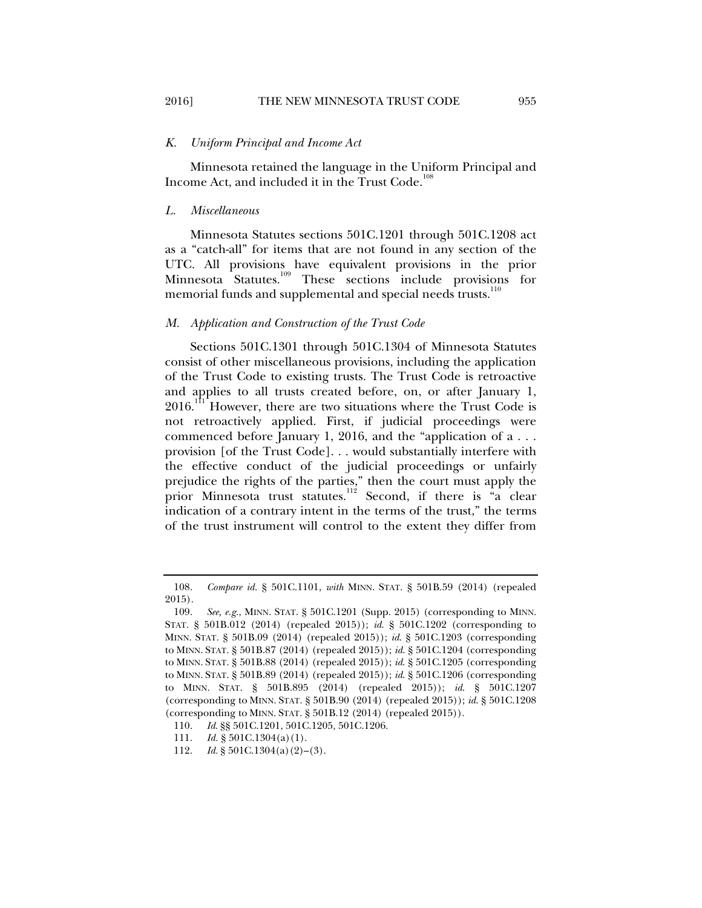#### *K. Uniform Principal and Income Act*

Minnesota retained the language in the Uniform Principal and Income Act, and included it in the Trust Code.<sup>108</sup>

#### *L. Miscellaneous*

Minnesota Statutes sections 501C.1201 through 501C.1208 act as a "catch-all" for items that are not found in any section of the UTC. All provisions have equivalent provisions in the prior Minnesota Statutes.<sup>109</sup> These sections include provisions for memorial funds and supplemental and special needs trusts.<sup>110</sup>

#### *M. Application and Construction of the Trust Code*

Sections 501C.1301 through 501C.1304 of Minnesota Statutes consist of other miscellaneous provisions, including the application of the Trust Code to existing trusts. The Trust Code is retroactive and applies to all trusts created before, on, or after January 1, 2016.<sup>111</sup> However, there are two situations where the Trust Code is not retroactively applied. First, if judicial proceedings were commenced before January 1, 2016, and the "application of a . . . provision [of the Trust Code]. . . would substantially interfere with the effective conduct of the judicial proceedings or unfairly prejudice the rights of the parties," then the court must apply the prior Minnesota trust statutes.<sup>112</sup> Second, if there is "a clear indication of a contrary intent in the terms of the trust," the terms of the trust instrument will control to the extent they differ from

 <sup>108.</sup> *Compare id.* § 501C.1101, *with* MINN. STAT. § 501B.59 (2014) (repealed 2015).

 <sup>109.</sup> *See, e.g.*, MINN. STAT. § 501C.1201 (Supp. 2015) (corresponding to MINN. STAT. § 501B.012 (2014) (repealed 2015)); *id*. § 501C.1202 (corresponding to MINN. STAT. § 501B.09 (2014) (repealed 2015)); *id*. § 501C.1203 (corresponding to MINN. STAT. § 501B.87 (2014) (repealed 2015)); *id*. § 501C.1204 (corresponding to MINN. STAT. § 501B.88 (2014) (repealed 2015)); *id*. § 501C.1205 (corresponding to MINN. STAT. § 501B.89 (2014) (repealed 2015)); *id*. § 501C.1206 (corresponding to MINN. STAT. § 501B.895 (2014) (repealed 2015)); *id*. § 501C.1207 (corresponding to MINN. STAT. § 501B.90 (2014) (repealed 2015)); *id*. § 501C.1208 (corresponding to MINN. STAT. § 501B.12 (2014) (repealed 2015)).

<sup>110.</sup> *Id.* §§ 501C.1201, 501C.1205, 501C.1206.<br>111. *Id.* § 501C.1304(a)(1).

 $Id. \S 501C.1304(a)(1)$ .

 <sup>112.</sup> *Id.* § 501C.1304(a)(2)–(3).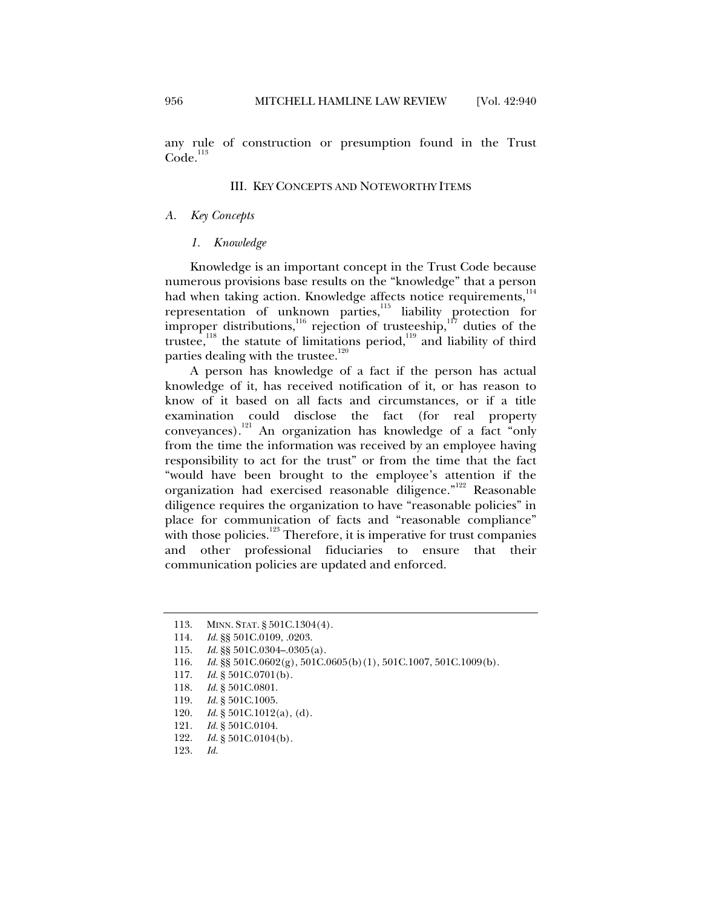any rule of construction or presumption found in the Trust  $Code.<sup>113</sup>$ 

#### III. KEY CONCEPTS AND NOTEWORTHY ITEMS

#### *A. Key Concepts*

#### *1. Knowledge*

Knowledge is an important concept in the Trust Code because numerous provisions base results on the "knowledge" that a person had when taking action. Knowledge affects notice requirements,<sup>114</sup> representation of unknown parties, $115$  liability protection for improper distributions,<sup>116</sup> rejection of trusteeship,<sup>117</sup> duties of the trustee,<sup>118</sup> the statute of limitations period,<sup>119</sup> and liability of third parties dealing with the trustee.<sup>120</sup>

A person has knowledge of a fact if the person has actual knowledge of it, has received notification of it, or has reason to know of it based on all facts and circumstances, or if a title examination could disclose the fact (for real property conveyances).<sup>121</sup> An organization has knowledge of a fact "only" from the time the information was received by an employee having responsibility to act for the trust" or from the time that the fact "would have been brought to the employee's attention if the organization had exercised reasonable diligence."<sup>122</sup> Reasonable diligence requires the organization to have "reasonable policies" in place for communication of facts and "reasonable compliance" with those policies.<sup>123</sup> Therefore, it is imperative for trust companies and other professional fiduciaries to ensure that their communication policies are updated and enforced.

 <sup>113.</sup> MINN. STAT. § 501C.1304(4).

 <sup>114.</sup> *Id.* §§ 501C.0109, .0203.

 <sup>115.</sup> *Id.* §§ 501C.0304–.0305(a).

 <sup>116.</sup> *Id.* §§ 501C.0602(g), 501C.0605(b)(1), 501C.1007, 501C.1009(b).

 <sup>117.</sup> *Id.* § 501C.0701(b).

 <sup>118.</sup> *Id.* § 501C.0801.

 <sup>119.</sup> *Id.* § 501C.1005.

 <sup>120.</sup> *Id.* § 501C.1012(a), (d).

 <sup>121.</sup> *Id.* § 501C.0104.

 $Id.$  § 501C.0104(b).

 <sup>123.</sup> *Id.*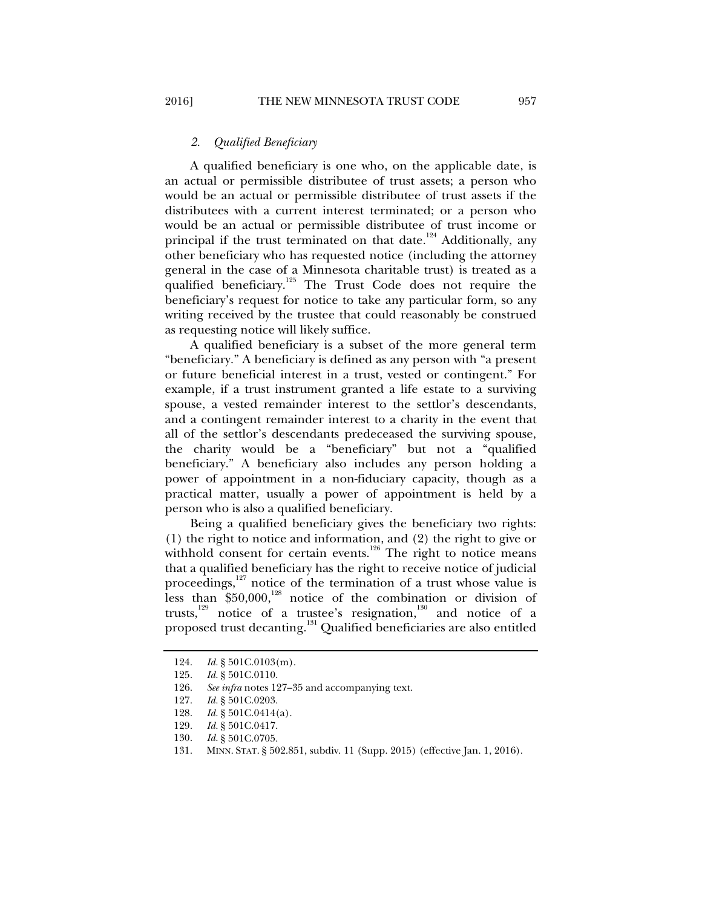## *2. Qualified Beneficiary*

A qualified beneficiary is one who, on the applicable date, is an actual or permissible distributee of trust assets; a person who would be an actual or permissible distributee of trust assets if the distributees with a current interest terminated; or a person who would be an actual or permissible distributee of trust income or principal if the trust terminated on that date.<sup>124</sup> Additionally, any other beneficiary who has requested notice (including the attorney general in the case of a Minnesota charitable trust) is treated as a qualified beneficiary.<sup>125</sup> The Trust Code does not require the beneficiary's request for notice to take any particular form, so any writing received by the trustee that could reasonably be construed as requesting notice will likely suffice.

A qualified beneficiary is a subset of the more general term "beneficiary." A beneficiary is defined as any person with "a present or future beneficial interest in a trust, vested or contingent." For example, if a trust instrument granted a life estate to a surviving spouse, a vested remainder interest to the settlor's descendants, and a contingent remainder interest to a charity in the event that all of the settlor's descendants predeceased the surviving spouse, the charity would be a "beneficiary" but not a "qualified beneficiary." A beneficiary also includes any person holding a power of appointment in a non-fiduciary capacity, though as a practical matter, usually a power of appointment is held by a person who is also a qualified beneficiary.

Being a qualified beneficiary gives the beneficiary two rights: (1) the right to notice and information, and (2) the right to give or withhold consent for certain events.<sup>126</sup> The right to notice means that a qualified beneficiary has the right to receive notice of judicial proceedings, $127$  notice of the termination of a trust whose value is less than  $$50,000$ ,<sup>128</sup> notice of the combination or division of trusts, $129$  notice of a trustee's resignation, $130$  and notice of a proposed trust decanting.131 Qualified beneficiaries are also entitled

 <sup>124.</sup> *Id.* § 501C.0103(m).

 <sup>125.</sup> *Id.* § 501C.0110.

 <sup>126.</sup> *See infra* notes 127–35 and accompanying text.

 <sup>127.</sup> *Id.* § 501C.0203.

 <sup>128.</sup> *Id.* § 501C.0414(a).

 <sup>129.</sup> *Id.* § 501C.0417.

 <sup>130.</sup> *Id.* § 501C.0705.

 <sup>131.</sup> MINN. STAT. § 502.851, subdiv. 11 (Supp. 2015) (effective Jan. 1, 2016).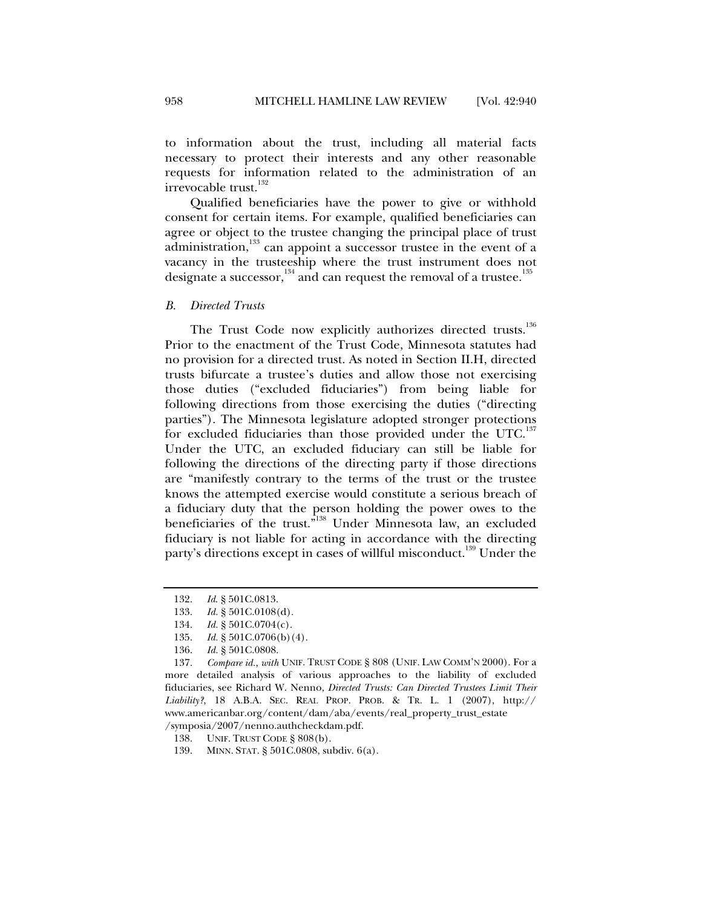to information about the trust, including all material facts necessary to protect their interests and any other reasonable requests for information related to the administration of an irrevocable trust.<sup>132</sup>

Qualified beneficiaries have the power to give or withhold consent for certain items. For example, qualified beneficiaries can agree or object to the trustee changing the principal place of trust administration,<sup>133</sup> can appoint a successor trustee in the event of a vacancy in the trusteeship where the trust instrument does not designate a successor,  $134$  and can request the removal of a trustee.<sup>135</sup>

*B. Directed Trusts* 

The Trust Code now explicitly authorizes directed trusts.<sup>136</sup> Prior to the enactment of the Trust Code, Minnesota statutes had no provision for a directed trust. As noted in Section II.H, directed trusts bifurcate a trustee's duties and allow those not exercising those duties ("excluded fiduciaries") from being liable for following directions from those exercising the duties ("directing parties"). The Minnesota legislature adopted stronger protections for excluded fiduciaries than those provided under the UTC.<sup>137</sup> Under the UTC, an excluded fiduciary can still be liable for following the directions of the directing party if those directions are "manifestly contrary to the terms of the trust or the trustee knows the attempted exercise would constitute a serious breach of a fiduciary duty that the person holding the power owes to the beneficiaries of the trust."138 Under Minnesota law, an excluded fiduciary is not liable for acting in accordance with the directing party's directions except in cases of willful misconduct.<sup>139</sup> Under the

 <sup>132.</sup> *Id*. § 501C.0813.

 <sup>133.</sup> *Id.* § 501C.0108(d).

 <sup>134.</sup> *Id.* § 501C.0704(c).

 <sup>135.</sup> *Id.* § 501C.0706(b)(4).

 <sup>136.</sup> *Id.* § 501C.0808.

 <sup>137.</sup> *Compare id.*, *with* UNIF. TRUST CODE § 808 (UNIF. LAW COMM'N 2000). For a more detailed analysis of various approaches to the liability of excluded fiduciaries, see Richard W. Nenno, *Directed Trusts: Can Directed Trustees Limit Their Liability?*, 18 A.B.A. SEC. REAL PROP. PROB. & TR. L. 1 (2007), http:// www.americanbar.org/content/dam/aba/events/real\_property\_trust\_estate /symposia/2007/nenno.authcheckdam.pdf.

 <sup>138.</sup> UNIF. TRUST CODE § 808(b).

 <sup>139.</sup> MINN. STAT. § 501C.0808, subdiv. 6(a).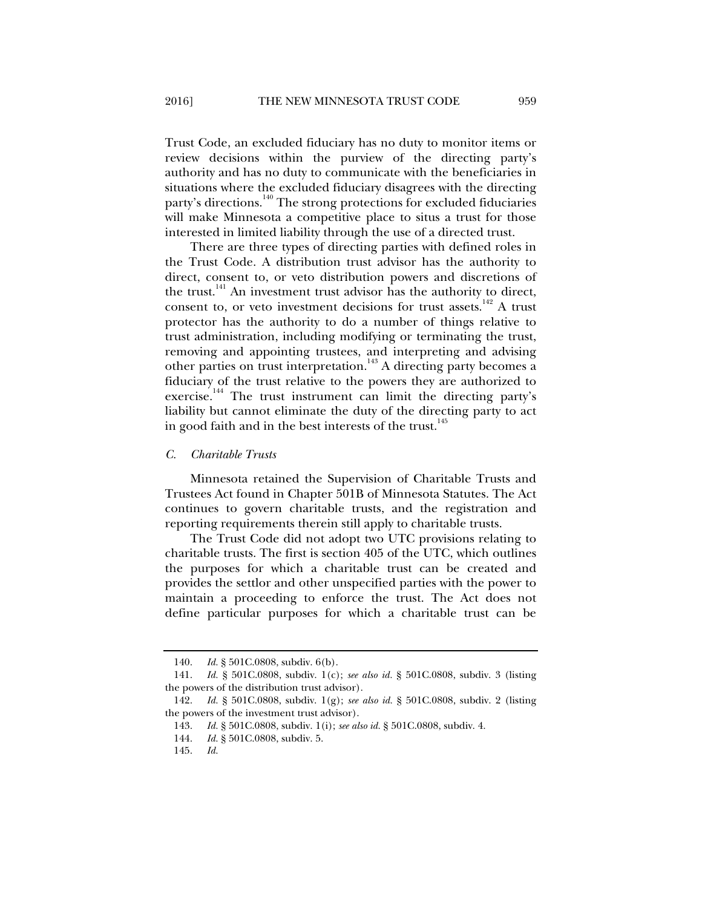Trust Code, an excluded fiduciary has no duty to monitor items or review decisions within the purview of the directing party's authority and has no duty to communicate with the beneficiaries in situations where the excluded fiduciary disagrees with the directing party's directions.<sup>140</sup> The strong protections for excluded fiduciaries will make Minnesota a competitive place to situs a trust for those interested in limited liability through the use of a directed trust.

There are three types of directing parties with defined roles in the Trust Code. A distribution trust advisor has the authority to direct, consent to, or veto distribution powers and discretions of the trust. $141$  An investment trust advisor has the authority to direct, consent to, or veto investment decisions for trust assets.<sup>142</sup> A trust protector has the authority to do a number of things relative to trust administration, including modifying or terminating the trust, removing and appointing trustees, and interpreting and advising other parties on trust interpretation.<sup>143</sup> A directing party becomes a fiduciary of the trust relative to the powers they are authorized to exercise.<sup>144</sup> The trust instrument can limit the directing party's liability but cannot eliminate the duty of the directing party to act in good faith and in the best interests of the trust.<sup>145</sup>

#### *C. Charitable Trusts*

Minnesota retained the Supervision of Charitable Trusts and Trustees Act found in Chapter 501B of Minnesota Statutes. The Act continues to govern charitable trusts, and the registration and reporting requirements therein still apply to charitable trusts.

The Trust Code did not adopt two UTC provisions relating to charitable trusts. The first is section 405 of the UTC, which outlines the purposes for which a charitable trust can be created and provides the settlor and other unspecified parties with the power to maintain a proceeding to enforce the trust. The Act does not define particular purposes for which a charitable trust can be

 <sup>140.</sup> *Id.* § 501C.0808, subdiv. 6(b).

 <sup>141.</sup> *Id.* § 501C.0808, subdiv. 1(c); *see also id.* § 501C.0808, subdiv. 3 (listing the powers of the distribution trust advisor).

 <sup>142.</sup> *Id.* § 501C.0808, subdiv. 1(g); *see also id.* § 501C.0808, subdiv. 2 (listing the powers of the investment trust advisor).

 <sup>143.</sup> *Id.* § 501C.0808, subdiv. 1(i); *see also id.* § 501C.0808, subdiv. 4.

 <sup>144.</sup> *Id.* § 501C.0808, subdiv. 5.

 <sup>145.</sup> *Id.*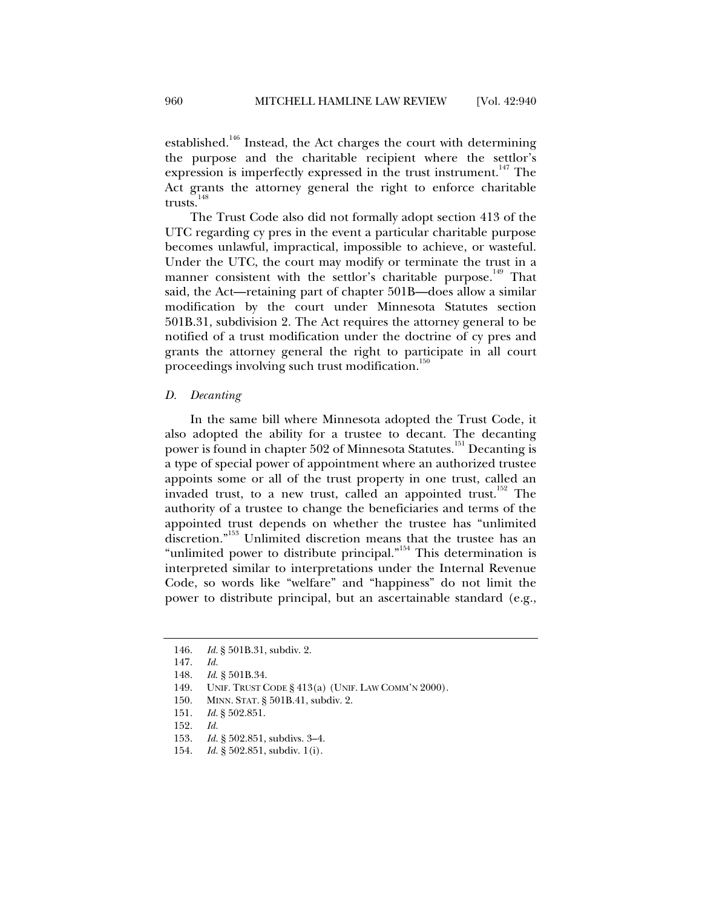established.<sup>146</sup> Instead, the Act charges the court with determining the purpose and the charitable recipient where the settlor's expression is imperfectly expressed in the trust instrument.<sup>147</sup> The Act grants the attorney general the right to enforce charitable trusts. $148$ 

The Trust Code also did not formally adopt section 413 of the UTC regarding cy pres in the event a particular charitable purpose becomes unlawful, impractical, impossible to achieve, or wasteful. Under the UTC, the court may modify or terminate the trust in a manner consistent with the settlor's charitable purpose.<sup>149</sup> That said, the Act—retaining part of chapter 501B—does allow a similar modification by the court under Minnesota Statutes section 501B.31, subdivision 2. The Act requires the attorney general to be notified of a trust modification under the doctrine of cy pres and grants the attorney general the right to participate in all court proceedings involving such trust modification.<sup>150</sup>

#### *D. Decanting*

In the same bill where Minnesota adopted the Trust Code, it also adopted the ability for a trustee to decant. The decanting power is found in chapter 502 of Minnesota Statutes.<sup>151</sup> Decanting is a type of special power of appointment where an authorized trustee appoints some or all of the trust property in one trust, called an invaded trust, to a new trust, called an appointed trust.<sup>152</sup> The authority of a trustee to change the beneficiaries and terms of the appointed trust depends on whether the trustee has "unlimited discretion."153 Unlimited discretion means that the trustee has an "unlimited power to distribute principal."<sup>154</sup> This determination is interpreted similar to interpretations under the Internal Revenue Code, so words like "welfare" and "happiness" do not limit the power to distribute principal, but an ascertainable standard (e.g.,

 <sup>146.</sup> *Id.* § 501B.31, subdiv. 2.

 <sup>147.</sup> *Id.*

 <sup>148.</sup> *Id*. § 501B.34.

 <sup>149.</sup> UNIF. TRUST CODE § 413(a) (UNIF. LAW COMM'N 2000).

 <sup>150.</sup> MINN. STAT. § 501B.41, subdiv. 2.

 <sup>151.</sup> *Id.* § 502.851.

 <sup>152.</sup> *Id.*

 <sup>153.</sup> *Id.* § 502.851, subdivs. 3–4.

 <sup>154.</sup> *Id.* § 502.851, subdiv. 1(i).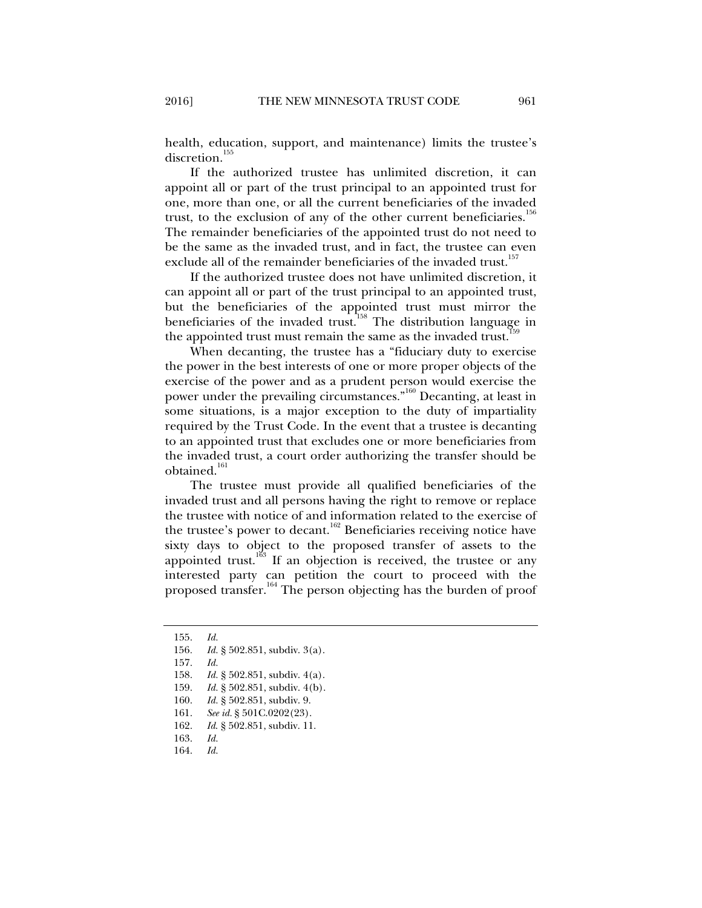health, education, support, and maintenance) limits the trustee's discretion.<sup>155</sup>

If the authorized trustee has unlimited discretion, it can appoint all or part of the trust principal to an appointed trust for one, more than one, or all the current beneficiaries of the invaded trust, to the exclusion of any of the other current beneficiaries.<sup>156</sup> The remainder beneficiaries of the appointed trust do not need to be the same as the invaded trust, and in fact, the trustee can even exclude all of the remainder beneficiaries of the invaded trust.<sup>157</sup>

If the authorized trustee does not have unlimited discretion, it can appoint all or part of the trust principal to an appointed trust, but the beneficiaries of the appointed trust must mirror the beneficiaries of the invaded trust.<sup>158</sup> The distribution language in the appointed trust must remain the same as the invaded trust.<sup>1</sup>

When decanting, the trustee has a "fiduciary duty to exercise the power in the best interests of one or more proper objects of the exercise of the power and as a prudent person would exercise the power under the prevailing circumstances."<sup>160</sup> Decanting, at least in some situations, is a major exception to the duty of impartiality required by the Trust Code. In the event that a trustee is decanting to an appointed trust that excludes one or more beneficiaries from the invaded trust, a court order authorizing the transfer should be obtained.<sup>161</sup>

The trustee must provide all qualified beneficiaries of the invaded trust and all persons having the right to remove or replace the trustee with notice of and information related to the exercise of the trustee's power to decant.<sup>162</sup> Beneficiaries receiving notice have sixty days to object to the proposed transfer of assets to the appointed trust.<sup>163</sup> If an objection is received, the trustee or any interested party can petition the court to proceed with the proposed transfer.<sup>164</sup> The person objecting has the burden of proof

160. *Id.* § 502.851, subdiv. 9.

 <sup>155.</sup> *Id.*

<sup>156</sup>*. Id.* § 502.851, subdiv. 3(a).

 <sup>157.</sup> *Id.* 

 <sup>158.</sup> *Id.* § 502.851, subdiv. 4(a).

 <sup>159.</sup> *Id.* § 502.851, subdiv. 4(b).

 <sup>161.</sup> *See id.* § 501C.0202(23).

 <sup>162.</sup> *Id*. § 502.851, subdiv. 11.

 <sup>163.</sup> *Id.* 

 <sup>164.</sup> *Id.*